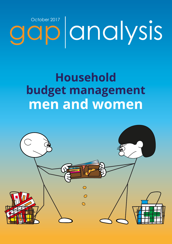# October 2017<br> **GIO CINCIVSIS**

# **Household budget management** men and women

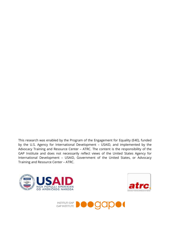This research was enabled by the Program of the Engagement for Equality (E4E), funded by the U.S. Agency for International Development – USAID, and implemented by the Advocacy Training and Resource Center – ATRC. The content is the responsibility of the GAP Institute and does not necessarily reflect views of the United States Agency for International Development – USAID, Government of the United States, or Advocacy Training and Resource Center – ATRC.





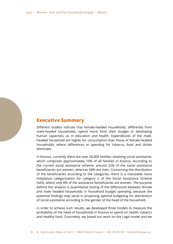# **Executive Summary**

Different studies indicate that female-headed households, differently from male-headed households, spend more from their budget in developing human capacities, as in education and health. Expenditures of the maleheaded household are higher for consumption than those of female-headed households, where differences in spending for tobacco, food and drinks dominate.

In Kosovo, currently there are over 26,000 families receiving social assistance, which comprises approximately 10% of all families in Kosovo. According to the current social assistance scheme, around 32% of the social assistance beneficiaries are women, whereas 68% are men. Concerning the distribution of the beneficiaries according to the categories, there is a noticeable more imbalance categorization for category II of the Social Assistance Scheme (SAS), where only 8% of the assistance beneficiaries are women. The purpose behind this analysis is quantitative testing of the differences between female and male headed households in household budget spending, because the potential findings may serve in proposing optimal budgeting for distribution of social assistance according to the gender of the head of the household.

In order to achieve such results, we developed three models to measure the probability of the head of households in Kosovo to spend on health, tobacco and healthy food. Concretely, we based our work on the Logit model and we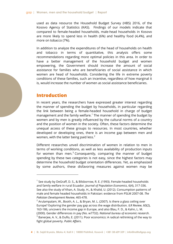used as data resource the Household Budget Survey (HBS) 2016, of the Kosovo Agency of Statistics (KAS). Findings of our models indicate that compared to female-headed households, male-head households in Kosovo are more likely to spend less in health (6%) and healthy food (4,4%), and more on tobacco (7%).

In addition to analyze the expenditures of the head of households on health and tobacco in terms of quantitative, this analysis offers some recommendations regarding more optimal policies in this area. In order to have a better management of the household budget and women empowering, the Government should increase the amount of social assistance for families who are beneficiaries of social assistance in which women are head of households. Considering the life in extreme poverty conditions of these families, such an incentive, regardless of how marginal it is, would increase the number of women as social assistance beneficiaries.

# **Introduction**

1

In recent years, the researchers have expressed greater interest regarding the manner of spending the budget by households, in particular regarding the link between being a female-headed household in charge of budget management and the family welfare.<sup>[1](#page-3-0)</sup> The manner of spending the budget by women and by men is greatly influenced by the cultural norms of a country and the position of women in the society. Often, these factors determine the unequal access of these groups to resources. In most countries, whether developed or developing ones, there is an income gap between men and women, with the latter being paid less.<sup>[2](#page-3-1)</sup>

Different researches unveil discrimination of women in relation to men in terms of working conditions, as well as less availability of production inputs for women than men.<sup>[3](#page-3-2)</sup> Consequently, comparing the manner of budget spending by these two categories is not easy, since the highest factors may determine the household budget orientation differences. Yet, as emphasized by some authors, these disfavoring measures against women may be

<span id="page-3-2"></span>**4 | Rr. Sejdi Kryeziu, Blloku 4, Kati II | 10000 Prishtinë, Kosovë | +381 38 609 339 | info@institutigap.org**

<span id="page-3-0"></span> $1$  See study by DeGraff, D. S., & Bilsborrow, R. E. (1993). Female-headed households and family welfare in rural Ecuador*. Journal of Population Economics*, 6(4), 317-336. See also the study of Khan, A. Study. H., & Khalid, U. (2012). Consumption patterns of male and female headed households in Pakistan: evidence from PSLM 2007-08. *The Pakistan Development Review*, 465-478.

<span id="page-3-1"></span> $<sup>2</sup>$  Arulampalam, W., Booth, A. L., & Bryan, M. L. (2007). Is there a glass ceiling over</sup> Europe? Exploring the gender pay gap across the wage distribution. *ILR Review*, 60(2), 163-186, uncovers the income gap in Europe, and also Blau, F. D., & Kahn, L. M. (2000). Gender differences in pay (No. w7732). *National bureau of economic research*.  $3$  Banerjee, A. V., & Duflo, E. (2011). Poor economics: A radical rethinking of the way to fight global poverty. *Public Affairs*.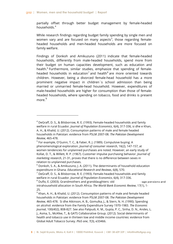partially offset through better budget management by female-headed households.[4](#page-4-0)

While research findings regarding budget family spending by single men and women vary and are focused on many aspects<sup>[5](#page-4-1)</sup>, those regarding femaleheaded households and men-headed households are more focused on family welfare.

Findings of Donkoh and Amikuzuno (2011) indicate that female-headed households, differently from male-headed households, spend more from their budget on human capacities development, such as education and health.<sup>[6](#page-4-2)</sup> Furthermore, similar studies, emphasize that spending of female-headed households in education<sup>[7](#page-4-3)</sup> and health<sup>[8](#page-4-4)</sup> are more oriented towards children. However, being a divorced female-head household has a more prominent negative impact in children`s school admission than being married or unmarried female-head household. However, expenditures of male-headed households are higher for consumption than those of femaleheaded households, where spending on tobacco, food and drinks is present more.<sup>[9](#page-4-5)</sup>

<span id="page-4-1"></span><sup>5</sup> For example, O'Guinn, T. C., & Faber, R. J. (1989). Compulsive buying: A phenomenological exploration. *Journal of consumer research*, 16(2), 147-157, at women tendencies for unplanned purchases are noted. However, an early study of Kollat, D. T., & Willett, R. P. (1967). Customer impulse purchasing behavior. *Journal of marketing research*, 21-31, proves that there is no difference between sexes in relation to unplanned purchases.

-

<span id="page-4-0"></span> $4$  DeGraff, D. S., & Bilsborrow, R. E. (1993). Female-headed households and family welfare in rural Ecuador*. Journal of Population Economics*, 6(4), 317-336, si dhe e Khan, A. H., & Khalid, U. (2012). Consumption patterns of male and female headed households in Pakistan: evidence from PSLM 2007-08. *The Pakistan Development Review*, 465-478.

<span id="page-4-2"></span> $6$  Donkoh, S. A., & Amikuzuno, J. A. (2011). The determinants of household education expenditure in Ghana. *Educational Research and Reviews*, 6(8), 570.

<span id="page-4-3"></span> $^7$  DeGraff, D. S., & Bilsborrow, R. E. (1993). Female-headed households and family welfare in rural Ecuador*. Journal of Population Economics*, 6(4), 317-336.

<span id="page-4-4"></span> $8$  Duflo, E. (2003). Grandmothers and granddaughters: old  $\qquad \qquad$  -age pensions and intrahousehold allocation in South Africa. *The World Bank Economic Review*, 17(1), 1-

<sup>25.</sup>

<span id="page-4-5"></span> $9$  Khan, A. H., & Khalid, U. (2012). Consumption patterns of male and female headed households in Pakistan: evidence from PSLM 2007-08. *The Pakistan Development Review*, 465-478. Si dhe Atkinson, A. B., Gomulka, J., & Stern, N. H. (1990). Spending on alcohol: evidence from the Family Expenditure Survey 1970-1983. *The Economic Journal*, 100(402), 808-827. See also Palipudi, K. M., Gupta, P. C., Sinha, D. N., Andes, L. J., Asma, S., McAfee, T., & GATS Collaborative Group. (2012). Social determinants of health and tobacco use in thirteen low and middle income countries: evidence from Global Adult Tobacco Survey. *PloS one*, 7(3), e33466.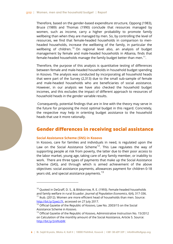Therefore, based on the gender-based expenditure structure, Oppong (1983), Bruce (1989) and Thomas (1990) conclude that resources managed by women, such as income, carry a higher probability to promote family wellbeing than when they are managed by men. So, by controlling the level of resources, we find that female-headed households in comparison to menheaded households, increase the wellbeing of the family, in particular the wellbeing of children.<sup>[10](#page-5-0)</sup> On regional level also, an analysis of budget management by female and male-headed households in Albania, finds that female-headed households manage the family budget better than men. $11$ .

Therefore, the purpose of this analysis is quantitative testing of differences between female and male-headed households in household budget spending in Kosovo. The analysis was conducted by incorporating all household heads that were part of the Survey (2,313) due to the small sub-sample of female and male-headed households who are beneficiaries of social assistance. However, in our analysis we have also checked the household budget incomes, and this excludes the impact of different approach to resources of household heads in the gender variable results.

Consequently, potential findings that are in line with the theory may serve in the future for proposing the most optimal budget in this regard. Concretely, the respective may help in orienting budget assistance to the household heads that use it more rationally.

# **Gender differences in receiving social assistance**

#### **Social Assistance Scheme (SNS) in Kosovo**

1

In Kosovo, care for families and individuals in need, is regulated upon the Law on the Social Assistance Scheme<sup>[12](#page-5-2)</sup>. This Law regulates the way of supporting people at risk from poverty, the latter due to their poor access to the labor market, young age, taking care of any family member, or inability to work. There are three types of payments that make up the Social Assistance Scheme (SAS), and through which is aimed achievement of the above objectives: social assistance payments, allowances payment for children 0-18 years old, and special assistance payments.<sup>[13](#page-5-3)</sup>

**6 | Rr. Sejdi Kryeziu, Blloku 4, Kati II | 10000 Prishtinë, Kosovë | +381 38 609 339 | info@institutigap.org**

<span id="page-5-1"></span><span id="page-5-0"></span> $10$  Quoted in DeGraff, D. S., & Bilsborrow, R. E. (1993). Female-headed households and family welfare in rural Ecuador. *Journal of Population Economics*, 6(4), 317-336.  $11$  Ikub. (2012). Women are more efficient head of households than men. Source: [http://bit.ly/2ywLt7t,](http://bit.ly/2ywLt7t) accessed on 27 July 2017.

<span id="page-5-2"></span> $12$  Official Gazette of the Republic of Kosovo, Law No. 2003/15 on the Social Assistance Scheme in Kosovo.

<span id="page-5-3"></span><sup>&</sup>lt;sup>13</sup> Official Gazette of the Republic of Kosovo, Administrative Instruction No. 15/2012 on Calculation of the monthly amount of the Social Assistance, Article 5. Source: [http://bit.ly/2vVKxbW.](http://bit.ly/2vVKxbW)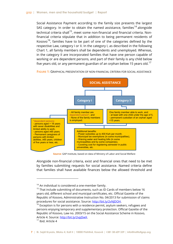Social Assistance Payment according to the family size presents the largest SAS category. In order to obtain the named assistance, families<sup>[14](#page-6-0)</sup> alongside technical criteria shall<sup>[15](#page-6-1)</sup>, meet some non-financial and financial criteria. Nonfinancial criteria stipulate that in addition to being permanent residents of Kosovo $^{16}$  $^{16}$  $^{16}$ , families have to be part of one of the categories defined by the respective Law, category I or II. In the category I, as described in the following Chart 1, all family members shall be dependents and unemployed. Whereas, in the category II are incorporated families that have one person capable of working or are dependent persons, and part of their family is any child below five years old, or any permanent guardian of an orphan below 15 years old.<sup>[17](#page-6-3)</sup>



**FIGURE 1:** GRAPHICAL PRESENTATION OF NON-FINANCIAL CRITERIA FOR SOCIAL ASSISTANCE

**Source:** GAP Institute, based on data of Ministry of Labor and Social Welfare

Alongside non-financial criteria, exist and financial ones that need to be met by families submitting requests for social assistance. Named criteria define that families shall have available finances below the allowed threshold and

1

<span id="page-6-0"></span> $14$  An individual is considered a one-member family.

<span id="page-6-1"></span> $15$  That include submitting of documents, such as ID Cards of members below 16 years old, different school and municipal certificates, etc. Official Gazette of the Republic of Kosovo, Administrative Instruction No. 04/2013 for submission of claims procedures for social assistance. Source: http://bit.ly/2vNJDOH.<br><sup>16</sup> Exception is for persons with a residence permit, asylum seekers, refugees and

<span id="page-6-2"></span>persons enjoying temporary and supplementary protection. Official Gazette of the Republic of Kosovo, Law no. 2003/15 on the Social Assistance Scheme in Kosovo, Article 4. Source: http://bit.ly/2vpJSwX.<br><sup>17</sup> Ibid. Article 4

<span id="page-6-3"></span>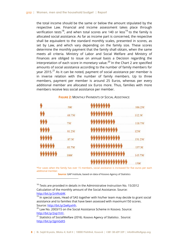the total income should be the same or below the amount stipulated by the respective Law. Financial and income assessment takes place through verification tests<sup>18</sup>, and when total scores are 140 or less<sup>19</sup> to the family is allocated social assistance. As far as income part is concerned, the respective shall be equivalent to the standard monthly scales, presented in scores, as set by Law, and which vary depending on the family size. These scores determine the monthly payment that the family shall obtain, when the same meets all criteria. Ministry of Labor and Social Welfare and Ministry of Finances are obliged to issue on annual basis a Decision regarding the interpretation of each score in monetary value.<sup>[20](#page-7-2)</sup> In the Chart 2 are specified amounts of social assistance according to the number of family members for year 2015. $^{21}$  $^{21}$  $^{21}$  As it can be noted, payment of social assistance per member is in inverse relation with the number of family members. Up to three members, payment per member is around 25 Euros, whereas per every additional member are allocated six Euros more. Thus, families with more members receive less social assistance per member.

#### \*\*\*\*\*\*\*\*  $106.25E$ 506  $112.56$ 68.75<sub>€</sub>  $756$ 118.756 81.256  $1256$  $87.56$  $131.256$ 93.756  $137.56$ 1006 143.75€ 150€

#### **FIGURE 2:** MONTHLY PAYMENTS OF SOCIAL ASSISTANCE

\*For cases when the family has over 15 members, social assistance is increased for five euros per each additional member.

**Source:** GAP Institute, based on data of Kosovo Agency of Statistics

<span id="page-7-0"></span> $18$  Tests are provided in details in the Administrative Instruction No. 15/2012 Calculation of the monthly amount of the Social Assistance. Source: [http://bit.ly/2vVKxbW.](http://bit.ly/2vVKxb%5e)

1

<span id="page-7-1"></span> $19$  In special cases, Head of SAS together with his/her team may decide to grant social assistance and to families that have been assessed with maximum150 scores. Source: [http://bit.ly/2wKyxHh.](http://bit.ly/2#KyxHh)

<span id="page-7-2"></span> $20$  Law No. 2003/15 on the Social Assistance Scheme in Kosovo. Source: [http://bit.ly/2vp1hYr.](http://bit.ly/2vp1hYr)

<span id="page-7-3"></span> $21$  Statistics of SocialWelfare (2016). Kosovo Agency of Statistics . Source: <http://bit.ly/2gmGdt5>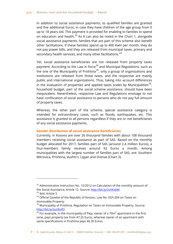In addition to social assistance payments, to qualified families are granted and five additional Euros, in case they have children of the age group from 0 up to 18 years old. This payment is provided for enabling to families to spend on education and health.<sup>[22](#page-8-0)</sup> As it can also be noted in the Chart 1, alongside social assistance payments, families that are part of this scheme also benefit other facilitations. If these families spend up to 400 KwH per month, they do not pay power bills, and they are released from municipal taxes, primary and secondary health services, and many other facilitations. $^{23}$  $^{23}$  $^{23}$ 

Yet, social assistance beneficiaries are not released from property taxes payment. According to the Law in force<sup>[24](#page-8-2)</sup> and Municipal Regulations, such as the one of the Municipality of Prishtina<sup>25</sup>, only a group of organizations and institutions are released from those taxes, and the respective are mainly public and international organizations. Thus, taking into account differences in the evaluation of properties and applied taxes scales by Municipalities<sup>26</sup>, household budget, part of the social scheme assistance, should have been inequivalent. Nevertheless, respective Law and Regulations envisage to not have confiscation of social assistance to persons who do not pay full amount of property taxes.

Whereas, the other part of the scheme, special assistance category is intended for extraordinary cases, such as floods, earthquakes, etc. This assistance is granted to all persons regardless if they are or not beneficiaries of any social assistance payments.

#### **Gender distribution of social assistance beneficiaries**

Currently, in Kosovo are over 26 thousand families with about 108 thousand members receiving social assistance as part of SAS. Based on the monthly budget allocated for 2017, families part of SAS (around 2.4 million Euros), a four-members family receives around 92 Euros a month. Among municipalities with the largest number of families part of SAS, are: Southern Mitrovica, Prishtina, Vushtrri, Lipjan and Drenas (Chart 3).

1

<span id="page-8-4"></span>**9 | Rr. Sejdi Kryeziu, Blloku 4, Kati II | 10000 Prishtinë, Kosovë | +381 38 609 339 | info@institutigap.org**

<span id="page-8-0"></span> $22$  Administrative Instruction No. 15/2012 on Calculation of the monthly amount of the Social Assistance, Article 12. Source:<http://bit.ly/2vVKxbW>.<br><sup>23</sup> Ibid. Article 5

<span id="page-8-2"></span><span id="page-8-1"></span><sup>&</sup>lt;sup>24</sup> Official Gazette of the Republic of Kosovo, Law No. 03/l-204 on Taxes on Immovable Property.

<span id="page-8-3"></span> $25$  Municipality of Prishtina, Regulation on Taxes on Immovable Property. Source: [http://bit.ly/2uUbvfO.](http://bit.ly/2uUbvfO)<br><sup>26</sup> For example, in the municipality of Peja, owner of a 70m<sup>2</sup> apartment in the first

zone, pays property tax from 47.25 Euros, whereas owner of an apartment with same specifications in Prishtina pays 46.20 Euros.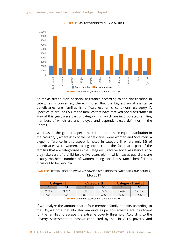

#### **CHART 3:** SAS ACCORDING TO MUNICIPALITIES

**Source:** GAP Institure, based on the data of MSWL.

As far as distribution of social assistance according to the classification in categories is concerned, there is noted that the biggest social assistance beneficiaries are families in difficult economic conditions (category I). Specifically, around 65% of the families that have received social assistance in May of this year, were part of category I, in which are incorporated families, members of which are unemployed and dependent (see definition in the Chart 1).

Whereas, in the gender aspect, there is noted a more equal distribution in the category I, where 45% of the beneficiaries were women and 55% men. A bigger difference in this aspect is noted in category II, where only 8% of beneficiaries were women. Taking into account the fact that a part of the families that are categorized in the Category II, receive social assistance since they take care of a child below five years old, in which cases guardians are usually mothers, number of women being social assistance beneficiaries turns out to be very low.

**TABLE 1:** DISTRIBUTION OF SOCIAL ASSISTANCE ACCORDING TO CATEGORIES AND GENDER, MAY 2017

| 'ategory |       | Category |       | <b>Category I and II</b> |        |
|----------|-------|----------|-------|--------------------------|--------|
|          |       |          |       |                          |        |
| 7.715    | 9.252 | 711      | 8.565 | 8.426                    | 17.817 |
| 45%      | 55%   | 8%       | 92%   | 32%                      | 68%    |

**Source:** GAP Institute, based on the data of MSWL.

If we analyze the amount that a four-member family benefits according to the SAS, we note that allocated amounts as per this scheme are insufficient for the families to escape the extreme poverty threshold. According to the Poverty Assessment in Kosovo conducted by KAS in 2015, poverty and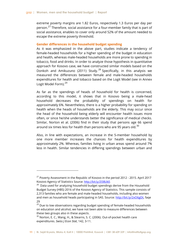extreme poverty margins are 1.82 Euros, respectively 1.3 Euros per day per person.<sup>[27](#page-10-0)</sup> Therefore, social assistance for a four-member family that is part of social assistance, enables to cover only around 52% of the amount needed to escape the extreme poverty threshold.

#### **Gender differences in the household budget spending**

As it was emphasized in the above part, studies indicate a tendency of female-headed households for a higher spending of the budget in education and health, whereas male-headed households are more prone to spending in tobacco, food and drinks. In order to analyze those hypothesis in quantitative approach for Kosovo case, we have constructed similar models based on the Donkoh and Amikuzuno (2011) Study.<sup>[28](#page-10-1)</sup> Specifically, in this analysis we measured the differences between female and male-headed households expenditures for health and tobacco based on the Logit Model (see in Annex Logit Model Form).<sup>[29](#page-10-2)</sup>

As far as the spendings of heads of household for health is concerned, according to this model, it shows that in Kosovo being a male-head household decreases the probability of spendings on health for approximately 6%. Nevertheless, there is a higher probability for spending on health when the heads of households are the elderly. This may occur since the head of the household being elderly will encounter health issues more often, or since he/she understands better the significance of medical checks. Similar, Norton et al. (2006) find in their study that persons age 66 spend around six times less for health than persons who are 95 years old.<sup>[30](#page-10-3)</sup>

Also, in line with expectations, an increase in the 5-member household by one more member increases the chances for health expenditures by approximately 2%. Whereas, families living in urban areas spend around 7% less in health. Similar tendencies in differing spendings between urban and

-

<span id="page-10-0"></span><sup>27</sup> Poverty Assessment in the Republic of Kosovo in the period 2012 - 2015. April 2017 Kosovo Agency of Statistics Source: http://bit.ly/2l38Uk0.<br><sup>28</sup> Data used for analyzing household budget spendings derive from the Household

<span id="page-10-1"></span>Budget Survey (HBS) 2016 of the Kosovo Agency of Statistics. This sample consists of 2,313 families who are female and male-headed households, including also women and men as household heads participating in SAS. Source: [http://bit.ly/2xO6gDt,](http://bit.ly/2xO6gDt) faqe 29

<span id="page-10-2"></span><sup>&</sup>lt;sup>29</sup> Due to low observations regarding budget spending of female-headed households on education and alcohol, we have not been able to measure differences between these two groups also in these aspects.

<span id="page-10-3"></span> $30$  Norton, E. C., Wang, H., & Stearns, S. C. (2006). Out-of-pocket health care expenditures. *Swiss J Econ Stat*, 142, 3-11.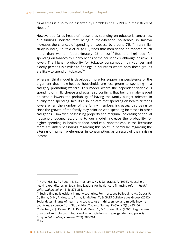rural areas is also found asserted by Hotchkiss et al. (1998) in their study of Nepal. $31$ 

However, as far as heads of households spending on tobacco is concerned, our findings indicate that being a male-headed household in Kosovo increases the chances of spending on tobacco by around  $7\%$ <sup>[32](#page-11-1)</sup> In a similar study in India, Neufeld et al. (2005) finds that men spend on tobacco much more than women (approximately 25 times).  $33$  But, the likelihood for spending on tobacco by elderly heads of the households, although positive, is lower. The higher probability for tobacco consumption by younger and elderly persons is similar to findings in countries where both these groups are likely to spend on tobacco.<sup>[34](#page-11-3)</sup>

Whereas, third model is developed more for supporting persistence of the argument that male-headed households are less prone to spending in a category promoting welfare. This model, where the dependent variable is spending on milk, cheese and eggs, also confirms that being a male-headed household lowers the probability of having the family budget oriented in quality food spending. Results also indicate that spending on healthier foods lowers when the number of the family members increases, this being so since the growth of the family may coincide with spending increases in other categories. However, possessing property and marginal increasing of annual household budget, according to our model, increase the probability for higher spending in healthier food products. Nonetheless, in the literature there are different findings regarding this point, in particular regarding the altering of human preferences in consumption, as a result of their raising income.

1

<span id="page-11-0"></span><sup>&</sup>lt;sup>31</sup> Hotchkiss, D. R., Rous, J. J., Karmacharya, K., & Sangraula, P. (1998). Household health expenditures in Nepal: implications for health care financing reform. *Health policy and planning*, 13(4), 371-383.

<span id="page-11-3"></span><span id="page-11-2"></span><span id="page-11-1"></span> $32$  Such a finding is evident in many countries. For more, see Palipudi, K. M., Gupta, P. C., Sinha, D. N., Andes, L. J., Asma, S., McAfee, T., & GATS Collaborative Group. (2012). Social determinants of health and tobacco use in thirteen low and middle income countries: evidence from Global Adult Tobacco Survey. *PloS one*, 7(3), e33466. <sup>33</sup> Neufeld, K. J., Peters, D. H., Rani, M., Bonu, S., & Brooner, R. K. (2005). Regular use of alcohol and tobacco in India and its association with age, gender, and poverty. *Drug and alcohol dependence*, 77(3), 283-291.  $34$  Ibid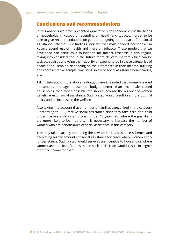# **Conclusions and recommendations**

In this analysis we have presented qualitatively the tendencies of the heads of households in Kosovo on spending on health and tobacco, i order to be able to give recommendations on gender budgeting on the part of the Social Assistance Scheme. Our findings indicate that male-headed households in Kosovo spend less on health and more on tobacco. These models that we developed can serve as a foundation for further research in this regard, taking into consideration in the future more delicate matters which can be tackled, such as analyzing the flexibility of expenditures in these categories of heads of households, depending on the differences in their income, building of a representative sample consisting solely of social assistance beneficiaries, etc.

Taking into account the above findings, where it is noted that women-headed households manage household budget better than the male-headed households, then, when possible, the should increase the number of women beneficiaries of social assistance. Such a step would result in a more optimal policy and an increase in the welfare.

Also taking into account that a number of families categorized in the category II according to SAS, receive social assistance since they take care of a child under five years old or an orphan under 15 years old, where the guardians are more likely to be mothers, it is necessary to increase the number of women who are beneficiaries of social assistance in this category.

This may take place by amending the Law on Social Assistance Schemes and dedicating higher amounts of social assistance for cases where women apply for assistance. Such a step would serve as an incentive to households where women are the beneficiaries, since such a decision would result in higher monthly income for them.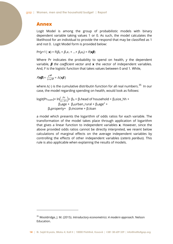### **Annex**

Logit Model is among the group of probabilistic models with binary dependent variable taking values 1 or 0. As such, the model calculates the likelihood for an individual to provide the respond that may be classified as 1 and not 0. Logit Model form is provided below:

 $Pr(y=1 | \mathbf{x}) = F(\beta_0 + \beta_1 x_1 + ... + \beta_k x_k) = F(\mathbf{x}\beta)$ 

Where Pr indicates the probability to spend on health, *y* the dependent variable, *β the coefficient vector* and **x** the vector of independent variables*.*  And, F is the logistic function that takes values between 0 and 1*.* While,

$$
F(\mathbf{x}\boldsymbol{\beta}) = \frac{e^{\mathbf{x}\boldsymbol{\beta}}}{1 + e^{\mathbf{x}\boldsymbol{\beta}}} = \Lambda(\mathbf{x}\boldsymbol{\beta})
$$

1

where  $Λ(·)$  is the cumulative distributin function for all real numbers.<sup>[35](#page-13-0)</sup> In our case, the model regarding spending on health, would look as follows:

logit(Pr<sub>health</sub>)= ln $\left(\frac{Pr}{1-Pr}\right)$ = β<sub>0</sub> + β<sub>1</sub>head of household + β<sub>2</sub>size\_hh +  $\beta_3$ age +  $\beta_4$ urban\_rural +  $\beta_5$ age<sup>2</sup> +  $β<sub>6</sub>$ property+  $β<sub>7</sub>$ income +  $β<sub>7</sub>$ loan

a model which presents the logarithm of odds ratios for each variable. The transformation of the model takes place through application of logarithm that gives a linear function to independent variables **x**. However, since the above provided odds ratios cannot be directly interpreted, we resent below calculations of marginal effects on the average independent variables by controlling the effects of other independent variables (*ceteris paribus*). This rule is also applicable when explaining the results of models.

<sup>35</sup> Wooldridge, J. M. (2015). *Introductory econometrics: A modern approach*. Nelson Education.

<span id="page-13-0"></span>**<sup>14 |</sup> Rr. Sejdi Kryeziu, Blloku 4, Kati II | 10000 Prishtinë, Kosovë | +381 38 609 339 | info@institutigap.org**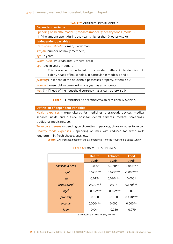#### **TABLE 2:** VARIABLES USED IN MODELS

| <b>Dependent variable</b>                                                     |  |  |  |  |  |  |
|-------------------------------------------------------------------------------|--|--|--|--|--|--|
| Spending on health (model 1); tobacco (model 2); healthy foods (model 3) -    |  |  |  |  |  |  |
| (1 if the amount spent during the year is higher than 0, otherwise 0)         |  |  |  |  |  |  |
| <b>Independent variables</b>                                                  |  |  |  |  |  |  |
| Head of household $(1 = man, 0 = woman)$                                      |  |  |  |  |  |  |
| size hh (number of family members)                                            |  |  |  |  |  |  |
| age (in years)                                                                |  |  |  |  |  |  |
| urban_rural (1= urban area, 0 = rural area)                                   |  |  |  |  |  |  |
| $age2$ (age in years in square)                                               |  |  |  |  |  |  |
| This variable is included to consider different tendencies of                 |  |  |  |  |  |  |
| elderly heads of households, in particular in models 1 and 3.                 |  |  |  |  |  |  |
| <i>property</i> (1= if head of the household possesses property, otherwise 0) |  |  |  |  |  |  |
| <i>income</i> (household income during one year, as an amount)                |  |  |  |  |  |  |
| loan (1= if head of the household currently has a loan, otherwise 0)          |  |  |  |  |  |  |

#### **TABLE 3:** DEFINITION OF DEPENDENT VARIABLES USED IN MODELS

| <b>Definition of dependent variables</b>                                      |  |  |  |  |  |
|-------------------------------------------------------------------------------|--|--|--|--|--|
| Health expenses - expenditures for medicines, therapeutic devices, medical    |  |  |  |  |  |
| services inside and outside hospital, dental services, medical screenings,    |  |  |  |  |  |
| traditional medicines, etc.                                                   |  |  |  |  |  |
| Tobacco expenses - spending on cigarettes in package, cigars or other tobacco |  |  |  |  |  |
| Healthy foods expenses - spending on milk with reduced fat, fresh milk,       |  |  |  |  |  |
| longterm milk, fresh cheese, eggs, etc.                                       |  |  |  |  |  |

**Source:** GAP Institute, based on the data obtained from the Household Budget Survey

|                  | <b>Health</b> | <b>Tobacco</b> | Food        |
|------------------|---------------|----------------|-------------|
|                  | dy/dx         | dy/dx          | dy/dx       |
| household head   | $-0.060*$     | $0.070**$      | $-0.044***$ |
| size_hh          | $0.021***$    | $0.025***$     | $-0.005***$ |
| age              | $-0.012*$     | $0.020***$     | 0.0001      |
| urban/rural      | $-0.070***$   | 0.014          | $0.170***$  |
| age <sup>2</sup> | $0.0002***$   | $0.0002***$    | 0.000       |
| property         | $-0.050$      | $-0.050$       | $0.170***$  |
| income           | $0.000***$    | 0.000          | $0.000**$   |
| loan             | 0.044         | -0.030         | $-0.079$    |

**TABLE 4:** LOG MODELS FINDINGS

Significance: \* 10%; \*\* 5%; \*\*\* 1%